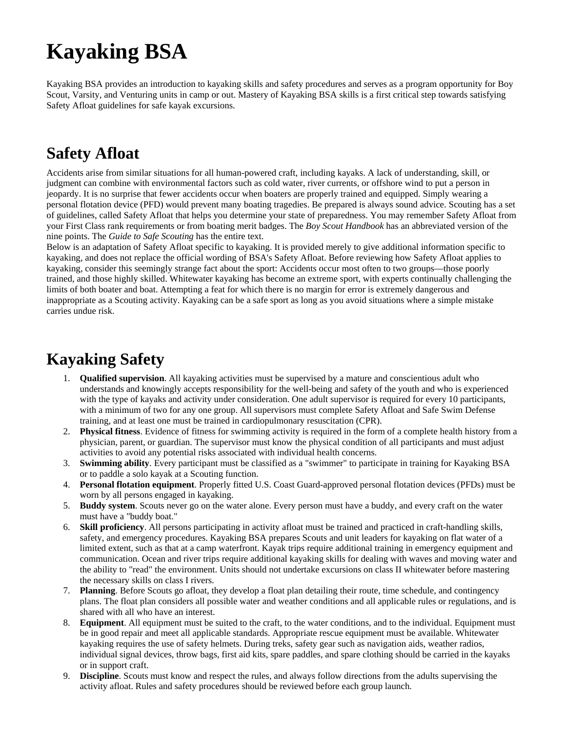# **Kayaking BSA**

Kayaking BSA provides an introduction to kayaking skills and safety procedures and serves as a program opportunity for Boy Scout, Varsity, and Venturing units in camp or out. Mastery of Kayaking BSA skills is a first critical step towards satisfying Safety Afloat guidelines for safe kayak excursions.

### **Safety Afloat**

Accidents arise from similar situations for all human-powered craft, including kayaks. A lack of understanding, skill, or judgment can combine with environmental factors such as cold water, river currents, or offshore wind to put a person in jeopardy. It is no surprise that fewer accidents occur when boaters are properly trained and equipped. Simply wearing a personal flotation device (PFD) would prevent many boating tragedies. Be prepared is always sound advice. Scouting has a set of guidelines, called Safety Afloat that helps you determine your state of preparedness. You may remember Safety Afloat from your First Class rank requirements or from boating merit badges. The *Boy Scout Handbook* has an abbreviated version of the nine points. The *Guide to Safe Scouting* has the entire text.

Below is an adaptation of Safety Afloat specific to kayaking. It is provided merely to give additional information specific to kayaking, and does not replace the official wording of BSA's Safety Afloat. Before reviewing how Safety Afloat applies to kayaking, consider this seemingly strange fact about the sport: Accidents occur most often to two groups—those poorly trained, and those highly skilled. Whitewater kayaking has become an extreme sport, with experts continually challenging the limits of both boater and boat. Attempting a feat for which there is no margin for error is extremely dangerous and inappropriate as a Scouting activity. Kayaking can be a safe sport as long as you avoid situations where a simple mistake carries undue risk.

### **Kayaking Safety**

- 1. **Qualified supervision**. All kayaking activities must be supervised by a mature and conscientious adult who understands and knowingly accepts responsibility for the well-being and safety of the youth and who is experienced with the type of kayaks and activity under consideration. One adult supervisor is required for every 10 participants, with a minimum of two for any one group. All supervisors must complete Safety Afloat and Safe Swim Defense training, and at least one must be trained in cardiopulmonary resuscitation (CPR).
- 2. **Physical fitness**. Evidence of fitness for swimming activity is required in the form of a complete health history from a physician, parent, or guardian. The supervisor must know the physical condition of all participants and must adjust activities to avoid any potential risks associated with individual health concerns.
- 3. **Swimming ability**. Every participant must be classified as a "swimmer" to participate in training for Kayaking BSA or to paddle a solo kayak at a Scouting function.
- 4. **Personal flotation equipment**. Properly fitted U.S. Coast Guard-approved personal flotation devices (PFDs) must be worn by all persons engaged in kayaking.
- 5. **Buddy system**. Scouts never go on the water alone. Every person must have a buddy, and every craft on the water must have a "buddy boat."
- 6. **Skill proficiency**. All persons participating in activity afloat must be trained and practiced in craft-handling skills, safety, and emergency procedures. Kayaking BSA prepares Scouts and unit leaders for kayaking on flat water of a limited extent, such as that at a camp waterfront. Kayak trips require additional training in emergency equipment and communication. Ocean and river trips require additional kayaking skills for dealing with waves and moving water and the ability to "read" the environment. Units should not undertake excursions on class II whitewater before mastering the necessary skills on class I rivers.
- 7. **Planning**. Before Scouts go afloat, they develop a float plan detailing their route, time schedule, and contingency plans. The float plan considers all possible water and weather conditions and all applicable rules or regulations, and is shared with all who have an interest.
- 8. **Equipment**. All equipment must be suited to the craft, to the water conditions, and to the individual. Equipment must be in good repair and meet all applicable standards. Appropriate rescue equipment must be available. Whitewater kayaking requires the use of safety helmets. During treks, safety gear such as navigation aids, weather radios, individual signal devices, throw bags, first aid kits, spare paddles, and spare clothing should be carried in the kayaks or in support craft.
- 9. **Discipline**. Scouts must know and respect the rules, and always follow directions from the adults supervising the activity afloat. Rules and safety procedures should be reviewed before each group launch.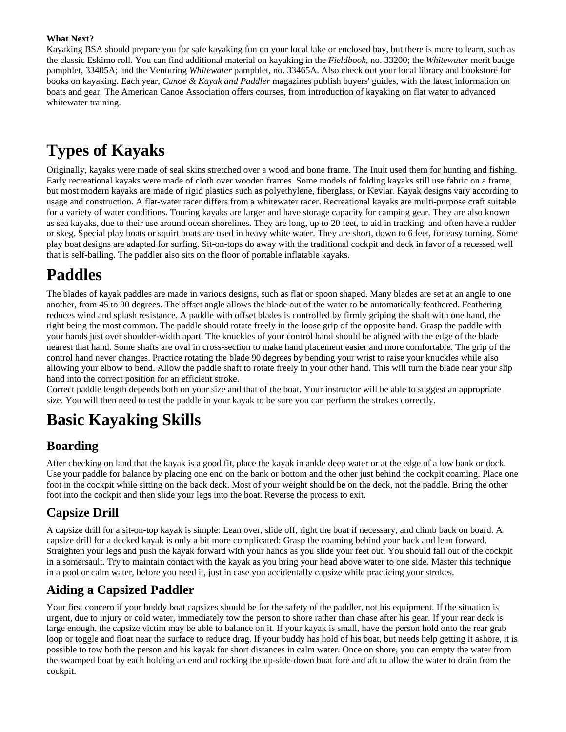#### **What Next?**

Kayaking BSA should prepare you for safe kayaking fun on your local lake or enclosed bay, but there is more to learn, such as the classic Eskimo roll. You can find additional material on kayaking in the *Fieldbook,* no. 33200; the *Whitewater* merit badge pamphlet, 33405A; and the Venturing *Whitewater* pamphlet, no. 33465A. Also check out your local library and bookstore for books on kayaking. Each year, *Canoe & Kayak and Paddler* magazines publish buyers' guides, with the latest information on boats and gear. The American Canoe Association offers courses, from introduction of kayaking on flat water to advanced whitewater training.

### **Types of Kayaks**

Originally, kayaks were made of seal skins stretched over a wood and bone frame. The Inuit used them for hunting and fishing. Early recreational kayaks were made of cloth over wooden frames. Some models of folding kayaks still use fabric on a frame, but most modern kayaks are made of rigid plastics such as polyethylene, fiberglass, or Kevlar. Kayak designs vary according to usage and construction. A flat-water racer differs from a whitewater racer. Recreational kayaks are multi-purpose craft suitable for a variety of water conditions. Touring kayaks are larger and have storage capacity for camping gear. They are also known as sea kayaks, due to their use around ocean shorelines. They are long, up to 20 feet, to aid in tracking, and often have a rudder or skeg. Special play boats or squirt boats are used in heavy white water. They are short, down to 6 feet, for easy turning. Some play boat designs are adapted for surfing. Sit-on-tops do away with the traditional cockpit and deck in favor of a recessed well that is self-bailing. The paddler also sits on the floor of portable inflatable kayaks.

### **Paddles**

The blades of kayak paddles are made in various designs, such as flat or spoon shaped. Many blades are set at an angle to one another, from 45 to 90 degrees. The offset angle allows the blade out of the water to be automatically feathered. Feathering reduces wind and splash resistance. A paddle with offset blades is controlled by firmly griping the shaft with one hand, the right being the most common. The paddle should rotate freely in the loose grip of the opposite hand. Grasp the paddle with your hands just over shoulder-width apart. The knuckles of your control hand should be aligned with the edge of the blade nearest that hand. Some shafts are oval in cross-section to make hand placement easier and more comfortable. The grip of the control hand never changes. Practice rotating the blade 90 degrees by bending your wrist to raise your knuckles while also allowing your elbow to bend. Allow the paddle shaft to rotate freely in your other hand. This will turn the blade near your slip hand into the correct position for an efficient stroke.

Correct paddle length depends both on your size and that of the boat. Your instructor will be able to suggest an appropriate size. You will then need to test the paddle in your kayak to be sure you can perform the strokes correctly.

### **Basic Kayaking Skills**

### **Boarding**

After checking on land that the kayak is a good fit, place the kayak in ankle deep water or at the edge of a low bank or dock. Use your paddle for balance by placing one end on the bank or bottom and the other just behind the cockpit coaming. Place one foot in the cockpit while sitting on the back deck. Most of your weight should be on the deck, not the paddle. Bring the other foot into the cockpit and then slide your legs into the boat. Reverse the process to exit.

### **Capsize Drill**

A capsize drill for a sit-on-top kayak is simple: Lean over, slide off, right the boat if necessary, and climb back on board. A capsize drill for a decked kayak is only a bit more complicated: Grasp the coaming behind your back and lean forward. Straighten your legs and push the kayak forward with your hands as you slide your feet out. You should fall out of the cockpit in a somersault. Try to maintain contact with the kayak as you bring your head above water to one side. Master this technique in a pool or calm water, before you need it, just in case you accidentally capsize while practicing your strokes.

#### **Aiding a Capsized Paddler**

Your first concern if your buddy boat capsizes should be for the safety of the paddler, not his equipment. If the situation is urgent, due to injury or cold water, immediately tow the person to shore rather than chase after his gear. If your rear deck is large enough, the capsize victim may be able to balance on it. If your kayak is small, have the person hold onto the rear grab loop or toggle and float near the surface to reduce drag. If your buddy has hold of his boat, but needs help getting it ashore, it is possible to tow both the person and his kayak for short distances in calm water. Once on shore, you can empty the water from the swamped boat by each holding an end and rocking the up-side-down boat fore and aft to allow the water to drain from the cockpit.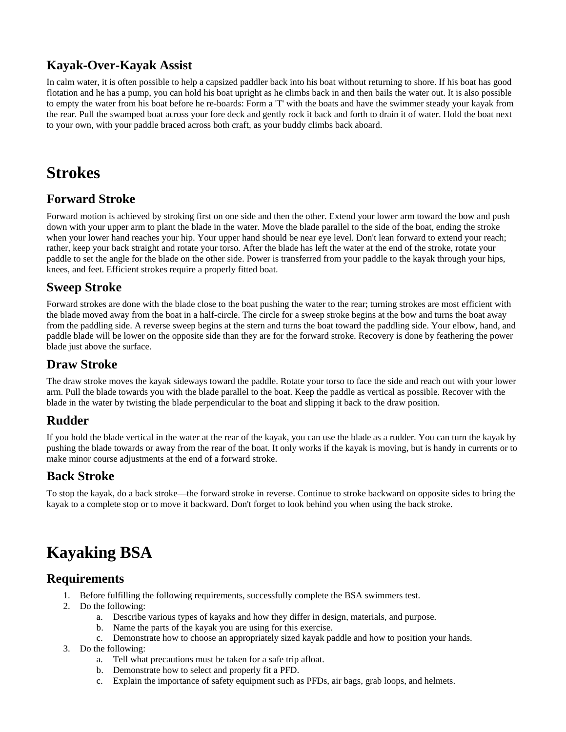### **Kayak-Over-Kayak Assist**

In calm water, it is often possible to help a capsized paddler back into his boat without returning to shore. If his boat has good flotation and he has a pump, you can hold his boat upright as he climbs back in and then bails the water out. It is also possible to empty the water from his boat before he re-boards: Form a 'T' with the boats and have the swimmer steady your kayak from the rear. Pull the swamped boat across your fore deck and gently rock it back and forth to drain it of water. Hold the boat next to your own, with your paddle braced across both craft, as your buddy climbs back aboard.

### **Strokes**

#### **Forward Stroke**

Forward motion is achieved by stroking first on one side and then the other. Extend your lower arm toward the bow and push down with your upper arm to plant the blade in the water. Move the blade parallel to the side of the boat, ending the stroke when your lower hand reaches your hip. Your upper hand should be near eye level. Don't lean forward to extend your reach; rather, keep your back straight and rotate your torso. After the blade has left the water at the end of the stroke, rotate your paddle to set the angle for the blade on the other side. Power is transferred from your paddle to the kayak through your hips, knees, and feet. Efficient strokes require a properly fitted boat.

#### **Sweep Stroke**

Forward strokes are done with the blade close to the boat pushing the water to the rear; turning strokes are most efficient with the blade moved away from the boat in a half-circle. The circle for a sweep stroke begins at the bow and turns the boat away from the paddling side. A reverse sweep begins at the stern and turns the boat toward the paddling side. Your elbow, hand, and paddle blade will be lower on the opposite side than they are for the forward stroke. Recovery is done by feathering the power blade just above the surface.

#### **Draw Stroke**

The draw stroke moves the kayak sideways toward the paddle. Rotate your torso to face the side and reach out with your lower arm. Pull the blade towards you with the blade parallel to the boat. Keep the paddle as vertical as possible. Recover with the blade in the water by twisting the blade perpendicular to the boat and slipping it back to the draw position.

### **Rudder**

If you hold the blade vertical in the water at the rear of the kayak, you can use the blade as a rudder. You can turn the kayak by pushing the blade towards or away from the rear of the boat. It only works if the kayak is moving, but is handy in currents or to make minor course adjustments at the end of a forward stroke.

#### **Back Stroke**

To stop the kayak, do a back stroke—the forward stroke in reverse. Continue to stroke backward on opposite sides to bring the kayak to a complete stop or to move it backward. Don't forget to look behind you when using the back stroke.

## **Kayaking BSA**

#### **Requirements**

- 1. Before fulfilling the following requirements, successfully complete the BSA swimmers test.
- 2. Do the following:
	- a. Describe various types of kayaks and how they differ in design, materials, and purpose.
	- b. Name the parts of the kayak you are using for this exercise.
	- c. Demonstrate how to choose an appropriately sized kayak paddle and how to position your hands.
- 3. Do the following:
	- a. Tell what precautions must be taken for a safe trip afloat.
	- b. Demonstrate how to select and properly fit a PFD.
	- c. Explain the importance of safety equipment such as PFDs, air bags, grab loops, and helmets.